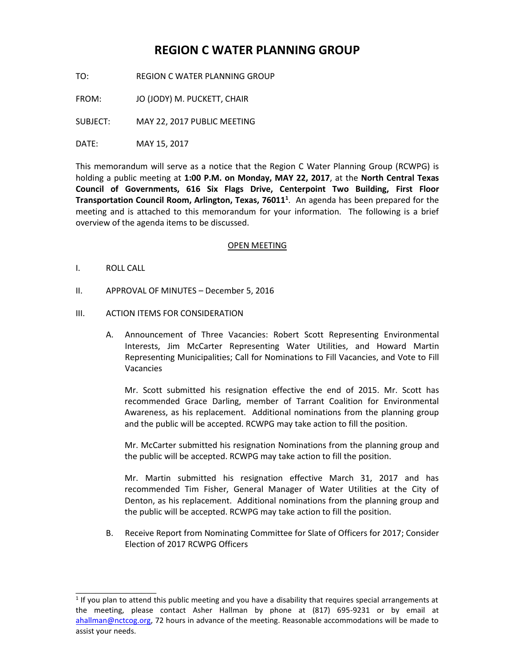# **REGION C WATER PLANNING GROUP**

TO: REGION C WATER PLANNING GROUP

FROM: JO (JODY) M. PUCKETT, CHAIR

SUBJECT: MAY 22, 2017 PUBLIC MEETING

DATE: MAY 15, 2017

This memorandum will serve as a notice that the Region C Water Planning Group (RCWPG) is holding a public meeting at **1:00 P.M. on Monday, MAY 22, 2017**, at the **North Central Texas Council of Governments, 616 Six Flags Drive, Centerpoint Two Building, First Floor Transportation Council Room, Arlington, Texas, 76011<sup>1</sup>** . An agenda has been prepared for the meeting and is attached to this memorandum for your information. The following is a brief overview of the agenda items to be discussed.

## OPEN MEETING

I. ROLL CALL

\_\_\_\_\_\_\_\_\_\_\_\_\_\_\_\_

- II. APPROVAL OF MINUTES December 5, 2016
- III. ACTION ITEMS FOR CONSIDERATION
	- A. Announcement of Three Vacancies: Robert Scott Representing Environmental Interests, Jim McCarter Representing Water Utilities, and Howard Martin Representing Municipalities; Call for Nominations to Fill Vacancies, and Vote to Fill Vacancies

Mr. Scott submitted his resignation effective the end of 2015. Mr. Scott has recommended Grace Darling, member of Tarrant Coalition for Environmental Awareness, as his replacement. Additional nominations from the planning group and the public will be accepted. RCWPG may take action to fill the position.

Mr. McCarter submitted his resignation Nominations from the planning group and the public will be accepted. RCWPG may take action to fill the position.

Mr. Martin submitted his resignation effective March 31, 2017 and has recommended Tim Fisher, General Manager of Water Utilities at the City of Denton, as his replacement. Additional nominations from the planning group and the public will be accepted. RCWPG may take action to fill the position.

B. Receive Report from Nominating Committee for Slate of Officers for 2017; Consider Election of 2017 RCWPG Officers

 $<sup>1</sup>$  If you plan to attend this public meeting and you have a disability that requires special arrangements at</sup> the meeting, please contact Asher Hallman by phone at (817) 695-9231 or by email at [ahallman@nctcog.org,](mailto:ahallman@nctcog.org) 72 hours in advance of the meeting. Reasonable accommodations will be made to assist your needs.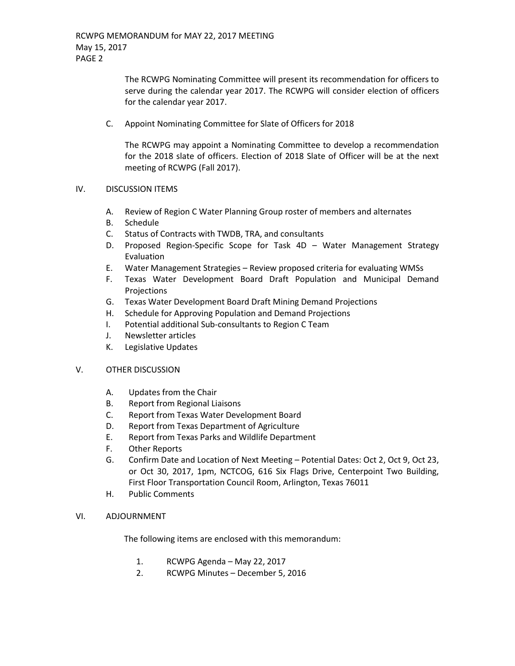The RCWPG Nominating Committee will present its recommendation for officers to serve during the calendar year 2017. The RCWPG will consider election of officers for the calendar year 2017.

C. Appoint Nominating Committee for Slate of Officers for 2018

The RCWPG may appoint a Nominating Committee to develop a recommendation for the 2018 slate of officers. Election of 2018 Slate of Officer will be at the next meeting of RCWPG (Fall 2017).

## IV. DISCUSSION ITEMS

- A. Review of Region C Water Planning Group roster of members and alternates
- B. Schedule
- C. Status of Contracts with TWDB, TRA, and consultants
- D. Proposed Region-Specific Scope for Task 4D Water Management Strategy Evaluation
- E. Water Management Strategies Review proposed criteria for evaluating WMSs
- F. Texas Water Development Board Draft Population and Municipal Demand **Projections**
- G. Texas Water Development Board Draft Mining Demand Projections
- H. Schedule for Approving Population and Demand Projections
- I. Potential additional Sub-consultants to Region C Team
- J. Newsletter articles
- K. Legislative Updates

## V. OTHER DISCUSSION

- A. Updates from the Chair
- B. Report from Regional Liaisons
- C. Report from Texas Water Development Board
- D. Report from Texas Department of Agriculture
- E. Report from Texas Parks and Wildlife Department
- F. Other Reports
- G. Confirm Date and Location of Next Meeting Potential Dates: Oct 2, Oct 9, Oct 23, or Oct 30, 2017, 1pm, NCTCOG, 616 Six Flags Drive, Centerpoint Two Building, First Floor Transportation Council Room, Arlington, Texas 76011
- H. Public Comments

## VI. ADJOURNMENT

The following items are enclosed with this memorandum:

- 1. RCWPG Agenda May 22, 2017
- 2. RCWPG Minutes December 5, 2016